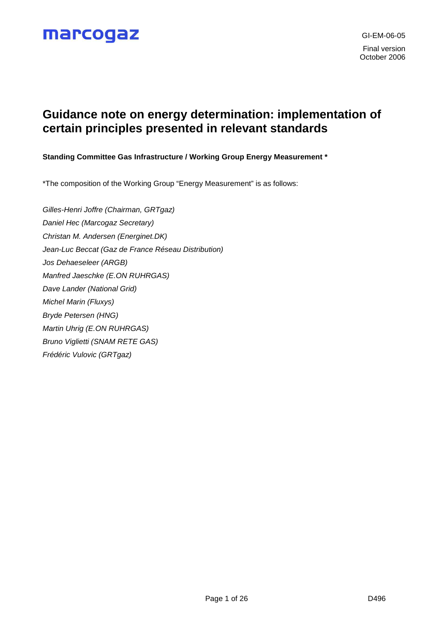### **Guidance note on energy determination: implementation of certain principles presented in relevant standards**

**Standing Committee Gas Infrastructure / Working Group Energy Measurement \***

\*The composition of the Working Group "Energy Measurement" is as follows:

*Gilles-Henri Joffre (Chairman, GRTgaz) Daniel Hec (Marcogaz Secretary) Christan M. Andersen (Energinet.DK) Jean-Luc Beccat (Gaz de France Réseau Distribution) Jos Dehaeseleer (ARGB) Manfred Jaeschke (E.ON RUHRGAS) Dave Lander (National Grid) Michel Marin (Fluxys) Bryde Petersen (HNG) Martin Uhrig (E.ON RUHRGAS) Bruno Viglietti (SNAM RETE GAS) Frédéric Vulovic (GRTgaz)*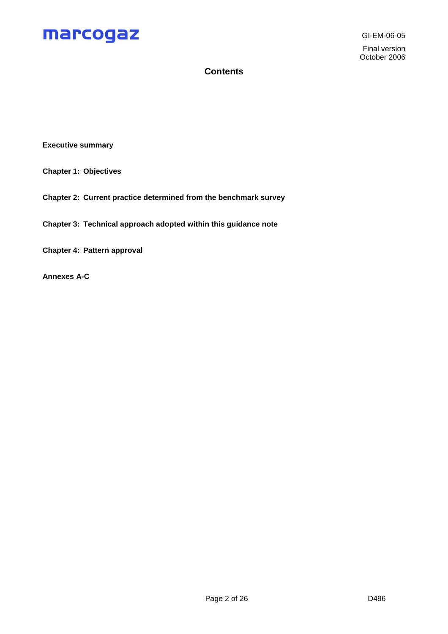GI-EM-06-05 Final version October 2006

### **Contents**

**Executive summary**

- **Chapter 1: Objectives**
- **Chapter 2: Current practice determined from the benchmark survey**
- **Chapter 3: Technical approach adopted within this guidance note**

**Chapter 4: Pattern approval**

**Annexes A-C**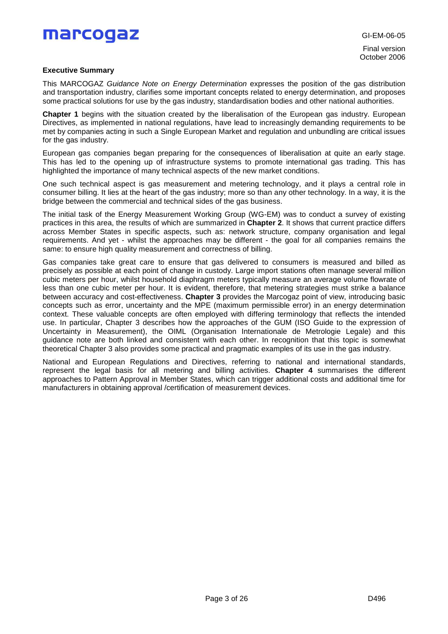Final version October 2006

### **Executive Summary**

This MARCOGAZ *Guidance Note on Energy Determination* expresses the position of the gas distribution and transportation industry, clarifies some important concepts related to energy determination, and proposes some practical solutions for use by the gas industry, standardisation bodies and other national authorities.

**Chapter 1** begins with the situation created by the liberalisation of the European gas industry. European Directives, as implemented in national regulations, have lead to increasingly demanding requirements to be met by companies acting in such a Single European Market and regulation and unbundling are critical issues for the gas industry.

European gas companies began preparing for the consequences of liberalisation at quite an early stage. This has led to the opening up of infrastructure systems to promote international gas trading. This has highlighted the importance of many technical aspects of the new market conditions.

One such technical aspect is gas measurement and metering technology, and it plays a central role in consumer billing. It lies at the heart of the gas industry; more so than any other technology. In a way, it is the bridge between the commercial and technical sides of the gas business.

The initial task of the Energy Measurement Working Group (WG-EM) was to conduct a survey of existing practices in this area, the results of which are summarized in **Chapter 2**. It shows that current practice differs across Member States in specific aspects, such as: network structure, company organisation and legal requirements. And yet - whilst the approaches may be different - the goal for all companies remains the same: to ensure high quality measurement and correctness of billing.

Gas companies take great care to ensure that gas delivered to consumers is measured and billed as precisely as possible at each point of change in custody. Large import stations often manage several million cubic meters per hour, whilst household diaphragm meters typically measure an average volume flowrate of less than one cubic meter per hour. It is evident, therefore, that metering strategies must strike a balance between accuracy and cost-effectiveness. **Chapter 3** provides the Marcogaz point of view, introducing basic concepts such as error, uncertainty and the MPE (maximum permissible error) in an energy determination context. These valuable concepts are often employed with differing terminology that reflects the intended use. In particular, Chapter 3 describes how the approaches of the GUM (ISO Guide to the expression of Uncertainty in Measurement), the OIML (Organisation Internationale de Metrologie Legale) and this guidance note are both linked and consistent with each other. In recognition that this topic is somewhat theoretical Chapter 3 also provides some practical and pragmatic examples of its use in the gas industry.

National and European Regulations and Directives, referring to national and international standards, represent the legal basis for all metering and billing activities. **Chapter 4** summarises the different approaches to Pattern Approval in Member States, which can trigger additional costs and additional time for manufacturers in obtaining approval /certification of measurement devices.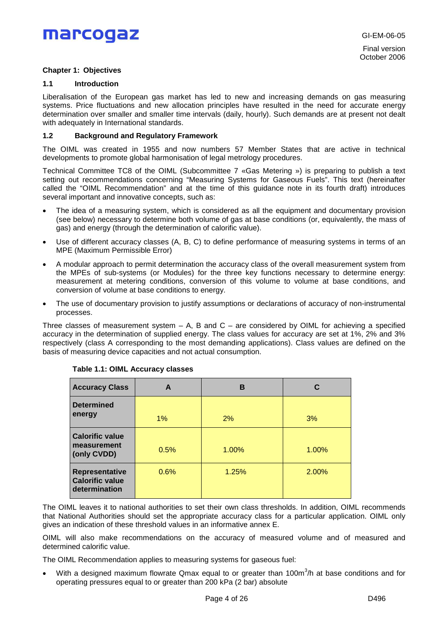### **Chapter 1: Objectives**

### **1.1 Introduction**

Liberalisation of the European gas market has led to new and increasing demands on gas measuring systems. Price fluctuations and new allocation principles have resulted in the need for accurate energy determination over smaller and smaller time intervals (daily, hourly). Such demands are at present not dealt with adequately in International standards.

### **1.2 Background and Regulatory Framework**

The OIML was created in 1955 and now numbers 57 Member States that are active in technical developments to promote global harmonisation of legal metrology procedures.

Technical Committee TC8 of the OIML (Subcommittee 7 «Gas Metering ») is preparing to publish a text setting out recommendations concerning "Measuring Systems for Gaseous Fuels". This text (hereinafter called the "OIML Recommendation" and at the time of this guidance note in its fourth draft) introduces several important and innovative concepts, such as:

- The idea of a measuring system, which is considered as all the equipment and documentary provision (see below) necessary to determine both volume of gas at base conditions (or, equivalently, the mass of gas) and energy (through the determination of calorific value).
- Use of different accuracy classes (A, B, C) to define performance of measuring systems in terms of an MPE (Maximum Permissible Error)
- A modular approach to permit determination the accuracy class of the overall measurement system from the MPEs of sub-systems (or Modules) for the three key functions necessary to determine energy: measurement at metering conditions, conversion of this volume to volume at base conditions, and conversion of volume at base conditions to energy.
- The use of documentary provision to justify assumptions or declarations of accuracy of non-instrumental processes.

Three classes of measurement system  $- A$ , B and C  $-$  are considered by OIML for achieving a specified accuracy in the determination of supplied energy. The class values for accuracy are set at 1%, 2% and 3% respectively (class A corresponding to the most demanding applications). Class values are defined on the basis of measuring device capacities and not actual consumption.

| <b>Accuracy Class</b>                                        | A    | в     | С     |  |  |
|--------------------------------------------------------------|------|-------|-------|--|--|
| <b>Determined</b><br>energy                                  | 1%   | 2%    | 3%    |  |  |
| <b>Calorific value</b><br>measurement<br>0.5%<br>(only CVDD) |      | 1.00% | 1.00% |  |  |
| Representative<br><b>Calorific value</b><br>determination    | 0.6% | 1.25% | 2.00% |  |  |

### **Table 1.1: OIML Accuracy classes**

The OIML leaves it to national authorities to set their own class thresholds. In addition, OIML recommends that National Authorities should set the appropriate accuracy class for a particular application. OIML only gives an indication of these threshold values in an informative annex E.

OIML will also make recommendations on the accuracy of measured volume and of measured and determined calorific value.

The OIML Recommendation applies to measuring systems for gaseous fuel:

• With a designed maximum flowrate Qmax equal to or greater than 100m $3/$ h at base conditions and for operating pressures equal to or greater than 200 kPa (2 bar) absolute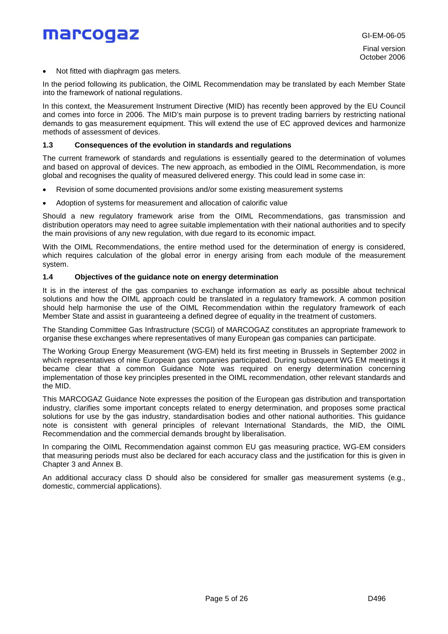GI-EM-06-05

Final version October 2006

Not fitted with diaphragm gas meters.

In the period following its publication, the OIML Recommendation may be translated by each Member State into the framework of national regulations.

In this context, the Measurement Instrument Directive (MID) has recently been approved by the EU Council and comes into force in 2006. The MID's main purpose is to prevent trading barriers by restricting national demands to gas measurement equipment. This will extend the use of EC approved devices and harmonize methods of assessment of devices.

#### **1.3 Consequences of the evolution in standards and regulations**

The current framework of standards and regulations is essentially geared to the determination of volumes and based on approval of devices. The new approach, as embodied in the OIML Recommendation, is more global and recognises the quality of measured delivered energy. This could lead in some case in:

- Revision of some documented provisions and/or some existing measurement systems
- Adoption of systems for measurement and allocation of calorific value

Should a new regulatory framework arise from the OIML Recommendations, gas transmission and distribution operators may need to agree suitable implementation with their national authorities and to specify the main provisions of any new regulation, with due regard to its economic impact.

With the OIML Recommendations, the entire method used for the determination of energy is considered, which requires calculation of the global error in energy arising from each module of the measurement system.

#### **1.4 Objectives of the guidance note on energy determination**

It is in the interest of the gas companies to exchange information as early as possible about technical solutions and how the OIML approach could be translated in a regulatory framework. A common position should help harmonise the use of the OIML Recommendation within the regulatory framework of each Member State and assist in guaranteeing a defined degree of equality in the treatment of customers.

The Standing Committee Gas Infrastructure (SCGI) of MARCOGAZ constitutes an appropriate framework to organise these exchanges where representatives of many European gas companies can participate.

The Working Group Energy Measurement (WG-EM) held its first meeting in Brussels in September 2002 in which representatives of nine European gas companies participated. During subsequent WG EM meetings it became clear that a common Guidance Note was required on energy determination concerning implementation of those key principles presented in the OIML recommendation, other relevant standards and the MID.

This MARCOGAZ Guidance Note expresses the position of the European gas distribution and transportation industry, clarifies some important concepts related to energy determination, and proposes some practical solutions for use by the gas industry, standardisation bodies and other national authorities. This guidance note is consistent with general principles of relevant International Standards, the MID, the OIML Recommendation and the commercial demands brought by liberalisation.

In comparing the OIML Recommendation against common EU gas measuring practice, WG-EM considers that measuring periods must also be declared for each accuracy class and the justification for this is given in Chapter 3 and Annex B.

An additional accuracy class D should also be considered for smaller gas measurement systems (e.g., domestic, commercial applications).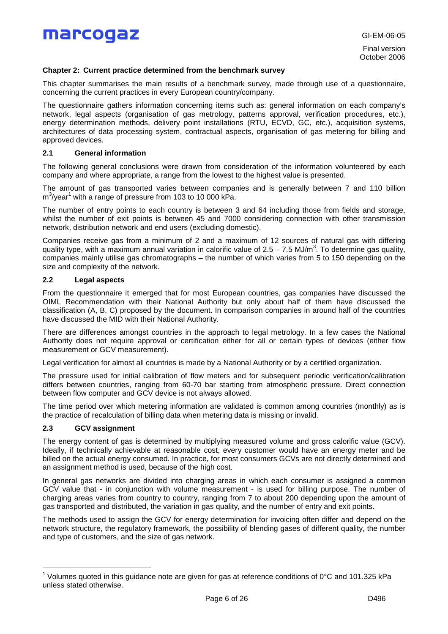GI-EM-06-05

Final version October 2006

### **Chapter 2: Current practice determined from the benchmark survey**

This chapter summarises the main results of a benchmark survey, made through use of a questionnaire, concerning the current practices in every European country/company.

The questionnaire gathers information concerning items such as: general information on each company's network, legal aspects (organisation of gas metrology, patterns approval, verification procedures, etc.), energy determination methods, delivery point installations (RTU, ECVD, GC, etc.), acquisition systems, architectures of data processing system, contractual aspects, organisation of gas metering for billing and approved devices.

### **2.1 General information**

The following general conclusions were drawn from consideration of the information volunteered by each company and where appropriate, a range from the lowest to the highest value is presented.

The amount of gas transported varies between companies and is generally between 7 and 110 billion m<sup>3</sup>/year<sup>1</sup> with a range of pressure from 103 to 10 000 kPa.

The number of entry points to each country is between 3 and 64 including those from fields and storage, whilst the number of exit points is between 45 and 7000 considering connection with other transmission network, distribution network and end users (excluding domestic).

Companies receive gas from a minimum of 2 and a maximum of 12 sources of natural gas with differing quality type, with a maximum annual variation in calorific value of 2.5 – 7.5 MJ/m<sup>3</sup>. To determine gas quality, companies mainly utilise gas chromatographs – the number of which varies from 5 to 150 depending on the size and complexity of the network.

### **2.2 Legal aspects**

From the questionnaire it emerged that for most European countries, gas companies have discussed the OIML Recommendation with their National Authority but only about half of them have discussed the classification (A, B, C) proposed by the document. In comparison companies in around half of the countries have discussed the MID with their National Authority.

There are differences amongst countries in the approach to legal metrology. In a few cases the National Authority does not require approval or certification either for all or certain types of devices (either flow measurement or GCV measurement).

Legal verification for almost all countries is made by a National Authority or by a certified organization.

The pressure used for initial calibration of flow meters and for subsequent periodic verification/calibration differs between countries, ranging from 60-70 bar starting from atmospheric pressure. Direct connection between flow computer and GCV device is not always allowed.

The time period over which metering information are validated is common among countries (monthly) as is the practice of recalculation of billing data when metering data is missing or invalid.

### **2.3 GCV assignment**

The energy content of gas is determined by multiplying measured volume and gross calorific value (GCV). Ideally, if technically achievable at reasonable cost, every customer would have an energy meter and be billed on the actual energy consumed. In practice, for most consumers GCVs are not directly determined and an assignment method is used, because of the high cost.

In general gas networks are divided into charging areas in which each consumer is assigned a common GCV value that - in conjunction with volume measurement - is used for billing purpose. The number of charging areas varies from country to country, ranging from 7 to about 200 depending upon the amount of gas transported and distributed, the variation in gas quality, and the number of entry and exit points.

The methods used to assign the GCV for energy determination for invoicing often differ and depend on the network structure, the regulatory framework, the possibility of blending gases of different quality, the number and type of customers, and the size of gas network.

<sup>&</sup>lt;sup>1</sup> Volumes quoted in this guidance note are given for gas at reference conditions of 0°C and 101.325 kPa unless stated otherwise.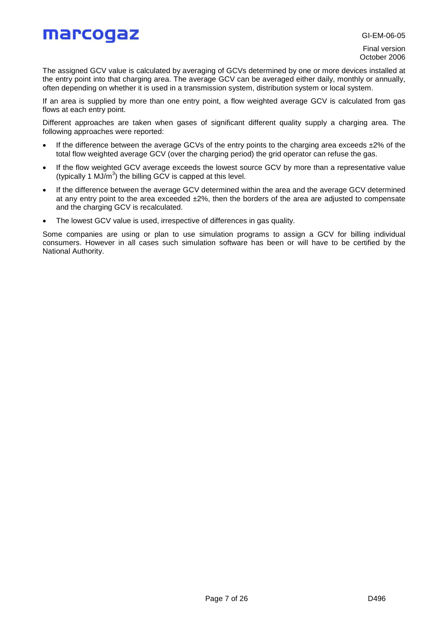GI-EM-06-05

Final version October 2006

The assigned GCV value is calculated by averaging of GCVs determined by one or more devices installed at the entry point into that charging area. The average GCV can be averaged either daily, monthly or annually, often depending on whether it is used in a transmission system, distribution system or local system.

If an area is supplied by more than one entry point, a flow weighted average GCV is calculated from gas flows at each entry point.

Different approaches are taken when gases of significant different quality supply a charging area. The following approaches were reported:

- If the difference between the average GCVs of the entry points to the charging area exceeds  $\pm 2\%$  of the total flow weighted average GCV (over the charging period) the grid operator can refuse the gas.
- If the flow weighted GCV average exceeds the lowest source GCV by more than a representative value (typically 1 MJ/m<sup>3</sup>) the billing GCV is capped at this level.
- If the difference between the average GCV determined within the area and the average GCV determined at any entry point to the area exceeded  $\pm 2\%$ , then the borders of the area are adjusted to compensate and the charging GCV is recalculated.
- The lowest GCV value is used, irrespective of differences in gas quality.

Some companies are using or plan to use simulation programs to assign a GCV for billing individual consumers. However in all cases such simulation software has been or will have to be certified by the National Authority.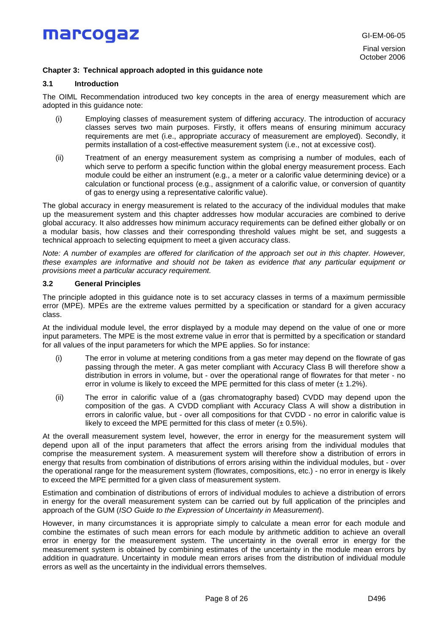### **Chapter 3: Technical approach adopted in this guidance note**

### **3.1 Introduction**

The OIML Recommendation introduced two key concepts in the area of energy measurement which are adopted in this guidance note:

- (i) Employing classes of measurement system of differing accuracy. The introduction of accuracy classes serves two main purposes. Firstly, it offers means of ensuring minimum accuracy requirements are met (i.e., appropriate accuracy of measurement are employed). Secondly, it permits installation of a cost-effective measurement system (i.e., not at excessive cost).
- (ii) Treatment of an energy measurement system as comprising a number of modules, each of which serve to perform a specific function within the global energy measurement process. Each module could be either an instrument (e.g., a meter or a calorific value determining device) or a calculation or functional process (e.g., assignment of a calorific value, or conversion of quantity of gas to energy using a representative calorific value).

The global accuracy in energy measurement is related to the accuracy of the individual modules that make up the measurement system and this chapter addresses how modular accuracies are combined to derive global accuracy. It also addresses how minimum accuracy requirements can be defined either globally or on a modular basis, how classes and their corresponding threshold values might be set, and suggests a technical approach to selecting equipment to meet a given accuracy class.

*Note: A number of examples are offered for clarification of the approach set out in this chapter. However, these examples are informative and should not be taken as evidence that any particular equipment or provisions meet a particular accuracy requirement.*

### **3.2 General Principles**

The principle adopted in this guidance note is to set accuracy classes in terms of a maximum permissible error (MPE). MPEs are the extreme values permitted by a specification or standard for a given accuracy class.

At the individual module level, the error displayed by a module may depend on the value of one or more input parameters. The MPE is the most extreme value in error that is permitted by a specification or standard for all values of the input parameters for which the MPE applies. So for instance:

- (i) The error in volume at metering conditions from a gas meter may depend on the flowrate of gas passing through the meter. A gas meter compliant with Accuracy Class B will therefore show a distribution in errors in volume, but - over the operational range of flowrates for that meter - no error in volume is likely to exceed the MPE permitted for this class of meter  $(\pm 1.2\%)$ .
- (ii) The error in calorific value of a (gas chromatography based) CVDD may depend upon the composition of the gas. A CVDD compliant with Accuracy Class A will show a distribution in errors in calorific value, but - over all compositions for that CVDD - no error in calorific value is likely to exceed the MPE permitted for this class of meter  $(\pm 0.5\%)$ .

At the overall measurement system level, however, the error in energy for the measurement system will depend upon all of the input parameters that affect the errors arising from the individual modules that comprise the measurement system. A measurement system will therefore show a distribution of errors in energy that results from combination of distributions of errors arising within the individual modules, but - over the operational range for the measurement system (flowrates, compositions, etc.) - no error in energy is likely to exceed the MPE permitted for a given class of measurement system.

Estimation and combination of distributions of errors of individual modules to achieve a distribution of errors in energy for the overall measurement system can be carried out by full application of the principles and approach of the GUM (*ISO Guide to the Expression of Uncertainty in Measurement*).

However, in many circumstances it is appropriate simply to calculate a mean error for each module and combine the estimates of such mean errors for each module by arithmetic addition to achieve an overall error in energy for the measurement system. The uncertainty in the overall error in energy for the measurement system is obtained by combining estimates of the uncertainty in the module mean errors by addition in quadrature. Uncertainty in module mean errors arises from the distribution of individual module errors as well as the uncertainty in the individual errors themselves.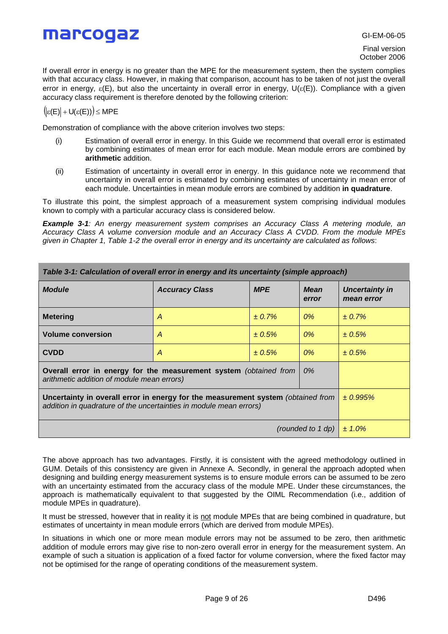Final version October 2006

If overall error in energy is no greater than the MPE for the measurement system, then the system complies with that accuracy class. However, in making that comparison, account has to be taken of not just the overall error in energy,  $\varepsilon(E)$ , but also the uncertainty in overall error in energy,  $U(\varepsilon(E))$ . Compliance with a given accuracy class requirement is therefore denoted by the following criterion:

 $\left(|\varepsilon(E)|+U(\varepsilon(E))\right)\leq MPE$ 

Demonstration of compliance with the above criterion involves two steps:

- (i) Estimation of overall error in energy. In this Guide we recommend that overall error is estimated by combining estimates of mean error for each module. Mean module errors are combined by **arithmetic** addition.
- (ii) Estimation of uncertainty in overall error in energy. In this guidance note we recommend that uncertainty in overall error is estimated by combining estimates of uncertainty in mean error of each module. Uncertainties in mean module errors are combined by addition **in quadrature**.

To illustrate this point, the simplest approach of a measurement system comprising individual modules known to comply with a particular accuracy class is considered below.

*Example 3-1: An energy measurement system comprises an Accuracy Class A metering module, an Accuracy Class A volume conversion module and an Accuracy Class A CVDD. From the module MPEs given in Chapter 1, Table 1-2 the overall error in energy and its uncertainty are calculated as follows*:

| Table 3-1: Calculation of overall error in energy and its uncertainty (simple approach)                                                                |                                  |                      |                              |             |  |  |  |
|--------------------------------------------------------------------------------------------------------------------------------------------------------|----------------------------------|----------------------|------------------------------|-------------|--|--|--|
| <b>Module</b>                                                                                                                                          | <b>Accuracy Class</b>            | <b>Mean</b><br>error | Uncertainty in<br>mean error |             |  |  |  |
| <b>Metering</b>                                                                                                                                        | A                                | $\pm 0.7\%$          | $0\%$                        | $\pm 0.7\%$ |  |  |  |
| <b>Volume conversion</b>                                                                                                                               | A                                | ± 0.5%               | $0\%$                        | ± 0.5%      |  |  |  |
| <b>CVDD</b><br>± 0.5%<br>A                                                                                                                             |                                  | 0%                   | ± 0.5%                       |             |  |  |  |
| Overall error in energy for the measurement system (obtained from<br>arithmetic addition of module mean errors)                                        |                                  |                      |                              |             |  |  |  |
| Uncertainty in overall error in energy for the measurement system (obtained from<br>addition in quadrature of the uncertainties in module mean errors) | $\pm 0.995\%$                    |                      |                              |             |  |  |  |
|                                                                                                                                                        | (rounded to 1 dp)<br>$\pm 1.0\%$ |                      |                              |             |  |  |  |

The above approach has two advantages. Firstly, it is consistent with the agreed methodology outlined in GUM. Details of this consistency are given in Annexe A. Secondly, in general the approach adopted when designing and building energy measurement systems is to ensure module errors can be assumed to be zero with an uncertainty estimated from the accuracy class of the module MPE. Under these circumstances, the approach is mathematically equivalent to that suggested by the OIML Recommendation (i.e., addition of module MPEs in quadrature).

It must be stressed, however that in reality it is not module MPEs that are being combined in quadrature, but estimates of uncertainty in mean module errors (which are derived from module MPEs).

In situations in which one or more mean module errors may not be assumed to be zero, then arithmetic addition of module errors may give rise to non-zero overall error in energy for the measurement system. An example of such a situation is application of a fixed factor for volume conversion, where the fixed factor may not be optimised for the range of operating conditions of the measurement system.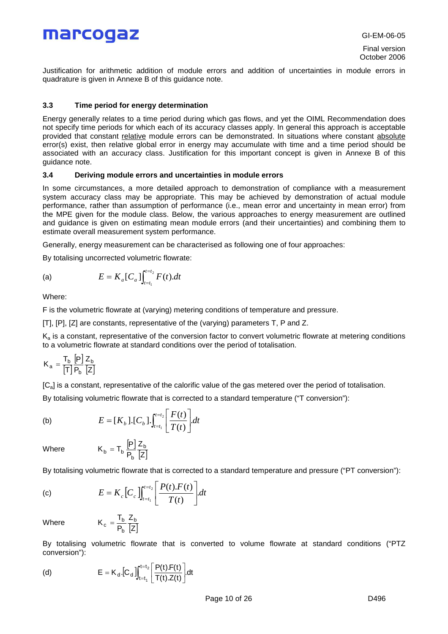GI-EM-06-05

Final version October 2006

Justification for arithmetic addition of module errors and addition of uncertainties in module errors in quadrature is given in Annexe B of this guidance note.

### **3.3 Time period for energy determination**

Energy generally relates to a time period during which gas flows, and yet the OIML Recommendation does not specify time periods for which each of its accuracy classes apply. In general this approach is acceptable provided that constant relative module errors can be demonstrated. In situations where constant absolute error(s) exist, then relative global error in energy may accumulate with time and a time period should be associated with an accuracy class. Justification for this important concept is given in Annexe B of this guidance note.

### **3.4 Deriving module errors and uncertainties in module errors**

In some circumstances, a more detailed approach to demonstration of compliance with a measurement system accuracy class may be appropriate. This may be achieved by demonstration of actual module performance, rather than assumption of performance (i.e., mean error and uncertainty in mean error) from the MPE given for the module class. Below, the various approaches to energy measurement are outlined and guidance is given on estimating mean module errors (and their uncertainties) and combining them to estimate overall measurement system performance.

Generally, energy measurement can be characterised as following one of four approaches:

By totalising uncorrected volumetric flowrate:

(a) 
$$
E = K_a[C_a] \int_{t=t_1}^{t=t_2} F(t) dt
$$

Where:

F is the volumetric flowrate at (varying) metering conditions of temperature and pressure.

[T], [P], [Z] are constants, representative of the (varying) parameters T, P and Z.

 $=t_1 \mid \frac{1}{T(t)} \mid$ 

 $\frac{1}{T(t)}\left|\frac{1}{T(t)}\right|$ .  $(t)$ 

*tF*

 $\mathbf{r}$ L

 $\frac{1}{2}$ 

K<sup>a</sup> is a constant, representative of the conversion factor to convert volumetric flowrate at metering conditions to a volumetric flowrate at standard conditions over the period of totalisation.

$$
K_a = \frac{T_b}{[T]} \frac{[P]}{P_b} \frac{Z_b}{[Z]}
$$

[Ca] is a constant, representative of the calorific value of the gas metered over the period of totalisation.

By totalising volumetric flowrate that is corrected to a standard temperature ("T conversion"):

 $\rfloor$ 

 $\overline{\phantom{a}}$ 

(b) 
$$
E = [K_b] \cdot [C_b] \cdot \int_{t=t_1}^{t=t_2} \left[ \frac{F(t)}{T(t)} \right] dt
$$

Where  $K_b = T_b \frac{[P]}{P_b} \frac{Z_b}{[Z]}$ 

By totalising volumetric flowrate that is corrected to a standard temperature and pressure ("PT conversion"):

(c) 
$$
E = K_c \left[ C_c \right]_{t=t_1}^{t=t_2} \left[ \frac{P(t).F(t)}{T(t)} \right] dt
$$

P  $K_b = T_b \frac{[P]}{P} \frac{Z_b}{I}$  $_b = T_b \frac{P}{P_b}$ 

Z

Where  $K_c = \frac{T_b}{P_b} \frac{Z_b}{|Z|}$ 

By totalising volumetric flowrate that is converted to volume flowrate at standard conditions ("PTZ conversion"):

(d) 
$$
E = K_d \cdot [C_d] \int_{t=t_1}^{t=t_2} \left[ \frac{P(t).F(t)}{T(t).Z(t)} \right] dt
$$

P  $K_c = \frac{T_b}{P} \frac{Z_b}{I}$ b  $c = \frac{Pb}{D}$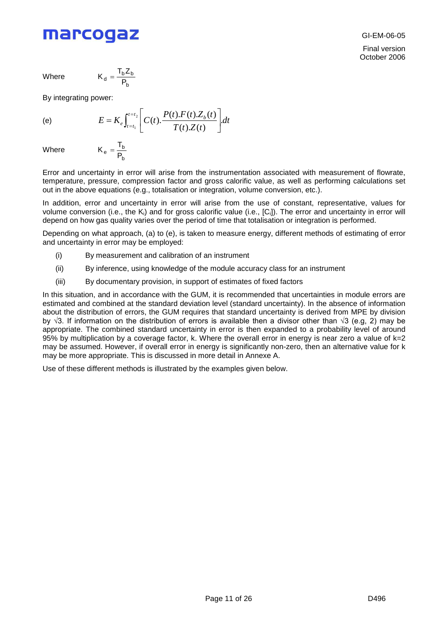Where

$$
K_d = \frac{T_b Z_b}{P_b}
$$

b  $e = \frac{P_b}{P_b}$  $K_e = \frac{T}{T}$ 

By integrating power:

$$
(\mathsf{e})
$$

(e) 
$$
E = K_e \int_{t=t_1}^{t=t_2} \left[ C(t) \cdot \frac{P(t) \cdot F(t) \cdot Z_b(t)}{T(t) \cdot Z(t)} \right] dt
$$

**Where** 

Error and uncertainty in error will arise from the instrumentation associated with measurement of flowrate, temperature, pressure, compression factor and gross calorific value, as well as performing calculations set out in the above equations (e.g., totalisation or integration, volume conversion, etc.).

In addition, error and uncertainty in error will arise from the use of constant, representative, values for volume conversion (i.e., the K<sub>i</sub>) and for gross calorific value (i.e., [C<sub>i</sub>]). The error and uncertainty in error will depend on how gas quality varies over the period of time that totalisation or integration is performed.

Depending on what approach, (a) to (e), is taken to measure energy, different methods of estimating of error and uncertainty in error may be employed:

- (i) By measurement and calibration of an instrument
- (ii) By inference, using knowledge of the module accuracy class for an instrument
- (iii) By documentary provision, in support of estimates of fixed factors

In this situation, and in accordance with the GUM, it is recommended that uncertainties in module errors are estimated and combined at the standard deviation level (standard uncertainty). In the absence of information about the distribution of errors, the GUM requires that standard uncertainty is derived from MPE by division by  $\sqrt{3}$ . If information on the distribution of errors is available then a divisor other than  $\sqrt{3}$  (e.g, 2) may be appropriate. The combined standard uncertainty in error is then expanded to a probability level of around 95% by multiplication by a coverage factor, k. Where the overall error in energy is near zero a value of k=2 may be assumed. However, if overall error in energy is significantly non-zero, then an alternative value for k may be more appropriate. This is discussed in more detail in Annexe A.

Use of these different methods is illustrated by the examples given below.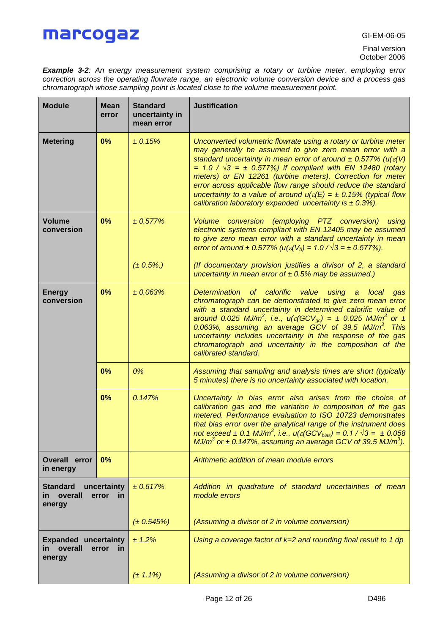*Example 3-2: An energy measurement system comprising a rotary or turbine meter, employing error correction across the operating flowrate range, an electronic volume conversion device and a process gas chromatograph whose sampling point is located close to the volume measurement point.*

| <b>Module</b>                                                                                 | <b>Mean</b><br>error | <b>Standard</b><br>uncertainty in<br>mean error | <b>Justification</b>                                                                                                                                                                                                                                                                                                                                                                                                                                                                                                                                                   |
|-----------------------------------------------------------------------------------------------|----------------------|-------------------------------------------------|------------------------------------------------------------------------------------------------------------------------------------------------------------------------------------------------------------------------------------------------------------------------------------------------------------------------------------------------------------------------------------------------------------------------------------------------------------------------------------------------------------------------------------------------------------------------|
| <b>Metering</b>                                                                               | 0%                   | ± 0.15%                                         | Unconverted volumetric flowrate using a rotary or turbine meter<br>may generally be assumed to give zero mean error with a<br>standard uncertainty in mean error of around $\pm$ 0.577% (u( $\varepsilon$ (V)<br>= $1.0 / \sqrt{3}$ = $\pm$ 0.577%) if compliant with EN 12480 (rotary<br>meters) or EN 12261 (turbine meters). Correction for meter<br>error across applicable flow range should reduce the standard<br>uncertainty to a value of around $u(\varepsilon(E) = \pm 0.15\%$ (typical flow<br>calibration laboratory expanded uncertainty is $\pm$ 0.3%). |
| <b>Volume</b><br>conversion                                                                   | 0%                   | ± 0.577%                                        | Volume conversion (employing PTZ conversion)<br>using<br>electronic systems compliant with EN 12405 may be assumed<br>to give zero mean error with a standard uncertainty in mean<br>error of around $\pm$ 0.577% (u( $\varepsilon$ (V <sub>b</sub> ) = 1.0 / $\sqrt{3}$ = $\pm$ 0.577%).                                                                                                                                                                                                                                                                              |
|                                                                                               |                      | $(\pm 0.5\%, )$                                 | (If documentary provision justifies a divisor of 2, a standard<br>uncertainty in mean error of $\pm$ 0.5% may be assumed.)                                                                                                                                                                                                                                                                                                                                                                                                                                             |
| 0%<br><b>Energy</b><br>conversion                                                             |                      | ± 0.063%                                        | Determination of calorific value using a local<br>gas<br>chromatograph can be demonstrated to give zero mean error<br>with a standard uncertainty in determined calorific value of<br>around 0.025 MJ/m <sup>3</sup> , i.e., $u(\varepsilon(GCV_{oc}) = \pm 0.025$ MJ/m <sup>3</sup> or $\pm$<br>0.063%, assuming an average GCV of 39.5 MJ/m <sup>3</sup> . This<br>uncertainty includes uncertainty in the response of the gas<br>chromatograph and uncertainty in the composition of the<br>calibrated standard.                                                    |
| 0%                                                                                            |                      | 0%                                              | Assuming that sampling and analysis times are short (typically<br>5 minutes) there is no uncertainty associated with location.                                                                                                                                                                                                                                                                                                                                                                                                                                         |
|                                                                                               | 0%                   | 0.147%                                          | Uncertainty in bias error also arises from the choice of<br>calibration gas and the variation in composition of the gas<br>metered. Performance evaluation to ISO 10723 demonstrates<br>that bias error over the analytical range of the instrument does<br>not exceed $\pm$ 0.1 MJ/m <sup>3</sup> , i.e., u( $\varepsilon$ (GCV <sub>bias</sub> ) = 0.1 / $\sqrt{3}$ = $\pm$ 0.058<br>MJ/m <sup>3</sup> or $\pm$ 0.147%, assuming an average GCV of 39.5 MJ/m <sup>3</sup> ).                                                                                         |
| Overall error<br>in energy                                                                    | 0%                   |                                                 | Arithmetic addition of mean module errors                                                                                                                                                                                                                                                                                                                                                                                                                                                                                                                              |
| <b>Standard</b><br>uncertainty<br>overall<br>error<br>in<br>$\overline{\mathsf{m}}$<br>energy |                      | ± 0.617%                                        | Addition in quadrature of standard uncertainties of mean<br>module errors                                                                                                                                                                                                                                                                                                                                                                                                                                                                                              |
|                                                                                               |                      | $(\pm 0.545%)$                                  | (Assuming a divisor of 2 in volume conversion)                                                                                                                                                                                                                                                                                                                                                                                                                                                                                                                         |
| <b>Expanded uncertainty</b><br>overall<br>energy                                              | error<br>in          | ± 1.2%                                          | Using a coverage factor of $k=2$ and rounding final result to 1 dp                                                                                                                                                                                                                                                                                                                                                                                                                                                                                                     |
|                                                                                               |                      | $(\pm 1.1\%)$                                   | (Assuming a divisor of 2 in volume conversion)                                                                                                                                                                                                                                                                                                                                                                                                                                                                                                                         |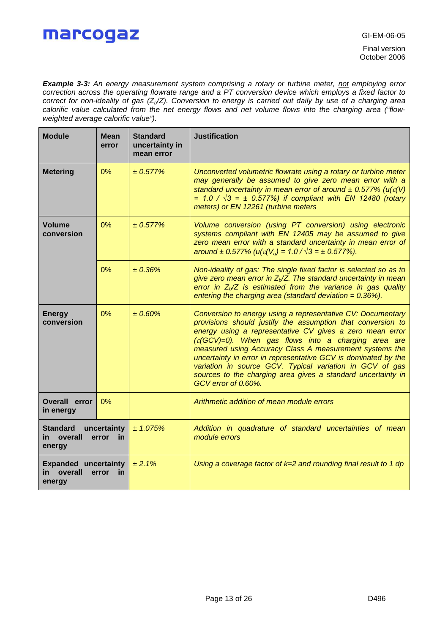Final version October 2006

*Example 3-3: An energy measurement system comprising a rotary or turbine meter, not employing error correction across the operating flowrate range and a PT conversion device which employs a fixed factor to correct for non-ideality of gas (Zb/Z). Conversion to energy is carried out daily by use of a charging area calorific value calculated from the net energy flows and net volume flows into the charging area ("flowweighted average calorific value").*

| <b>Module</b>                                                                    | <b>Mean</b><br>error | <b>Standard</b><br>uncertainty in<br>mean error | <b>Justification</b>                                                                                                                                                                                                                                                                                                                                                                                                                                                                                                                       |
|----------------------------------------------------------------------------------|----------------------|-------------------------------------------------|--------------------------------------------------------------------------------------------------------------------------------------------------------------------------------------------------------------------------------------------------------------------------------------------------------------------------------------------------------------------------------------------------------------------------------------------------------------------------------------------------------------------------------------------|
| <b>Metering</b>                                                                  | 0%                   | ± 0.577%                                        | Unconverted volumetric flowrate using a rotary or turbine meter<br>may generally be assumed to give zero mean error with a<br>standard uncertainty in mean error of around $\pm$ 0.577% (u( $\varepsilon$ (V)<br>= $1.0 / \sqrt{3}$ = $\pm$ 0.577%) if compliant with EN 12480 (rotary<br>meters) or EN 12261 (turbine meters                                                                                                                                                                                                              |
| <b>Volume</b><br>conversion                                                      | 0%                   | $± 0.577\%$                                     | Volume conversion (using PT conversion) using electronic<br>systems compliant with EN 12405 may be assumed to give<br>zero mean error with a standard uncertainty in mean error of<br>around $\pm$ 0.577% (u( $\varepsilon$ (V <sub>b</sub> ) = 1.0 / $\sqrt{3}$ = $\pm$ 0.577%).                                                                                                                                                                                                                                                          |
|                                                                                  | 0%                   | ± 0.36%                                         | Non-ideality of gas: The single fixed factor is selected so as to<br>give zero mean error in $Z_b/Z$ . The standard uncertainty in mean<br>error in $Z_b/Z$ is estimated from the variance in gas quality<br>entering the charging area (standard deviation = $0.36\%$ ).                                                                                                                                                                                                                                                                  |
| <b>Energy</b><br>conversion                                                      | 0%                   | ± 0.60%                                         | Conversion to energy using a representative CV: Documentary<br>provisions should justify the assumption that conversion to<br>energy using a representative CV gives a zero mean error<br>$(\varepsilon$ (GCV)=0). When gas flows into a charging area are<br>measured using Accuracy Class A measurement systems the<br>uncertainty in error in representative GCV is dominated by the<br>variation in source GCV. Typical variation in GCV of gas<br>sources to the charging area gives a standard uncertainty in<br>GCV error of 0.60%. |
| Overall error<br>in energy                                                       | 0%                   |                                                 | Arithmetic addition of mean module errors                                                                                                                                                                                                                                                                                                                                                                                                                                                                                                  |
| <b>Standard</b><br>uncertainty<br>overall<br>in.<br>error<br><u>in</u><br>energy |                      | ± 1.075%                                        | Addition in quadrature of standard uncertainties of mean<br>module errors                                                                                                                                                                                                                                                                                                                                                                                                                                                                  |
| <b>Expanded uncertainty</b><br>overall<br>error<br>in<br><u>in</u><br>energy     |                      | ± 2.1%                                          | Using a coverage factor of $k=2$ and rounding final result to 1 dp                                                                                                                                                                                                                                                                                                                                                                                                                                                                         |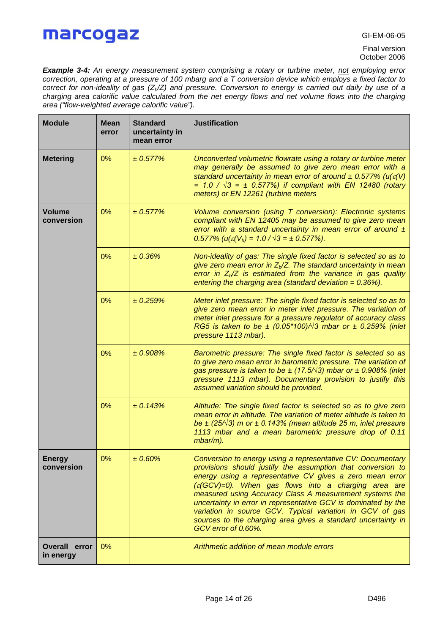*Example 3-4: An energy measurement system comprising a rotary or turbine meter, not employing error correction, operating at a pressure of 100 mbarg and a T conversion device which employs a fixed factor to correct for non-ideality of gas (Zb/Z) and pressure. Conversion to energy is carried out daily by use of a charging area calorific value calculated from the net energy flows and net volume flows into the charging area ("flow-weighted average calorific value").*

| <b>Module</b>               | <b>Mean</b><br>error | <b>Standard</b><br>uncertainty in<br>mean error | <b>Justification</b>                                                                                                                                                                                                                                                                                                                                                                                                                                                                                                                   |
|-----------------------------|----------------------|-------------------------------------------------|----------------------------------------------------------------------------------------------------------------------------------------------------------------------------------------------------------------------------------------------------------------------------------------------------------------------------------------------------------------------------------------------------------------------------------------------------------------------------------------------------------------------------------------|
| <b>Metering</b>             | 0%                   | ± 0.577%                                        | Unconverted volumetric flowrate using a rotary or turbine meter<br>may generally be assumed to give zero mean error with a<br>standard uncertainty in mean error of around $\pm$ 0.577% (u( $\varepsilon$ (V)<br>= $1.0 / \sqrt{3}$ = $\pm$ 0.577%) if compliant with EN 12480 (rotary<br>meters) or EN 12261 (turbine meters                                                                                                                                                                                                          |
| <b>Volume</b><br>conversion | 0%                   | ± 0.577%                                        | Volume conversion (using T conversion): Electronic systems<br>compliant with EN 12405 may be assumed to give zero mean<br>error with a standard uncertainty in mean error of around $\pm$<br>$0.577\%$ (u( $\varepsilon$ (V <sub>b</sub> ) = 1.0 / $\sqrt{3}$ = ± 0.577%).                                                                                                                                                                                                                                                             |
|                             | 0%                   | ± 0.36%                                         | Non-ideality of gas: The single fixed factor is selected so as to<br>give zero mean error in $Zb/Z$ . The standard uncertainty in mean<br>error in $Z_b/Z$ is estimated from the variance in gas quality<br>entering the charging area (standard deviation = $0.36\%$ ).                                                                                                                                                                                                                                                               |
|                             | 0%                   | ± 0.259%                                        | Meter inlet pressure: The single fixed factor is selected so as to<br>give zero mean error in meter inlet pressure. The variation of<br>meter inlet pressure for a pressure regulator of accuracy class<br>RG5 is taken to be $\pm$ (0.05*100)/ $\sqrt{3}$ mbar or $\pm$ 0.259% (inlet<br>pressure 1113 mbar).                                                                                                                                                                                                                         |
|                             | 0%                   | ± 0.908%                                        | Barometric pressure: The single fixed factor is selected so as<br>to give zero mean error in barometric pressure. The variation of<br>gas pressure is taken to be $\pm$ (17.5/ $\sqrt{3}$ ) mbar or $\pm$ 0.908% (inlet<br>pressure 1113 mbar). Documentary provision to justify this<br>assumed variation should be provided.                                                                                                                                                                                                         |
|                             | 0%                   | ± 0.143%                                        | Altitude: The single fixed factor is selected so as to give zero<br>mean error in altitude. The variation of meter altitude is taken to<br>be $\pm$ (25/ $\sqrt{3}$ ) m or $\pm$ 0.143% (mean altitude 25 m, inlet pressure<br>1113 mbar and a mean barometric pressure drop of 0.11<br>$mbar/m$ ).                                                                                                                                                                                                                                    |
| <b>Energy</b><br>conversion | 0%                   | ±0.60%                                          | Conversion to energy using a representative CV: Documentary<br>provisions should justify the assumption that conversion to<br>energy using a representative CV gives a zero mean error<br>$\epsilon(GCV)=0$ ). When gas flows into a charging area are<br>measured using Accuracy Class A measurement systems the<br>uncertainty in error in representative GCV is dominated by the<br>variation in source GCV. Typical variation in GCV of gas<br>sources to the charging area gives a standard uncertainty in<br>GCV error of 0.60%. |
| Overall error<br>in energy  | 0%                   |                                                 | Arithmetic addition of mean module errors                                                                                                                                                                                                                                                                                                                                                                                                                                                                                              |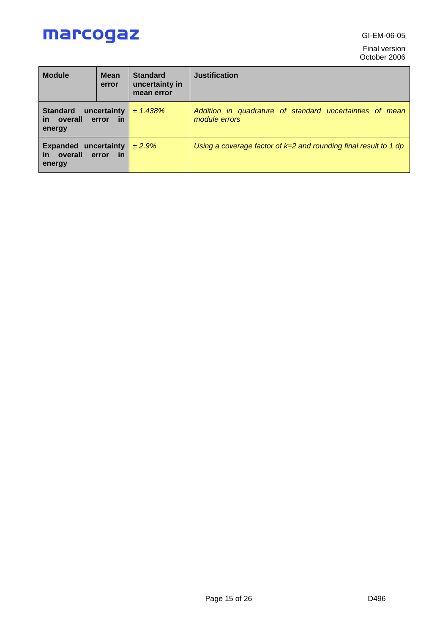GI-EM-06-05

Final version October 2006

| <b>Module</b>                                                             | <b>Mean</b><br>error | <b>Standard</b><br>uncertainty in<br>mean error | <b>Justification</b>                                                      |  |  |  |  |
|---------------------------------------------------------------------------|----------------------|-------------------------------------------------|---------------------------------------------------------------------------|--|--|--|--|
| <b>Standard</b><br>uncertainty<br>in overall<br>in<br>error<br>energy     |                      | ± 1.438%                                        | Addition in quadrature of standard uncertainties of mean<br>module errors |  |  |  |  |
| <b>Expanded uncertainty</b><br>in overall<br><u>in</u><br>error<br>energy |                      | ± 2.9%                                          | Using a coverage factor of $k=2$ and rounding final result to 1 dp        |  |  |  |  |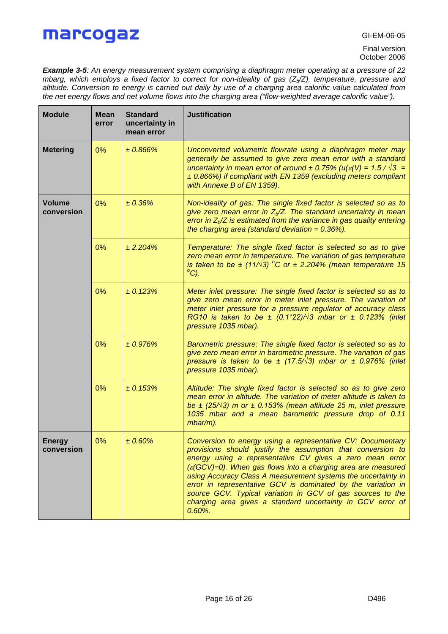*Example 3-5: An energy measurement system comprising a diaphragm meter operating at a pressure of 22 mbarg, which employs a fixed factor to correct for non-ideality of gas (Zb/Z), temperature, pressure and altitude. Conversion to energy is carried out daily by use of a charging area calorific value calculated from the net energy flows and net volume flows into the charging area ("flow-weighted average calorific value").*

| <b>Module</b>               | <b>Mean</b><br>error                                                                                                                                                                                                                                              | <b>Standard</b><br>uncertainty in<br>mean error | <b>Justification</b>                                                                                                                                                                                                                                                                                                                                                                                                                                                                                                                           |  |
|-----------------------------|-------------------------------------------------------------------------------------------------------------------------------------------------------------------------------------------------------------------------------------------------------------------|-------------------------------------------------|------------------------------------------------------------------------------------------------------------------------------------------------------------------------------------------------------------------------------------------------------------------------------------------------------------------------------------------------------------------------------------------------------------------------------------------------------------------------------------------------------------------------------------------------|--|
| <b>Metering</b>             | 0%                                                                                                                                                                                                                                                                | ±0.866%                                         | Unconverted volumetric flowrate using a diaphragm meter may<br>generally be assumed to give zero mean error with a standard<br>uncertainty in mean error of around $\pm$ 0.75% (u( $\varepsilon$ (V) = 1.5 / $\sqrt{3}$ =<br>± 0.866%) if compliant with EN 1359 (excluding meters compliant<br>with Annexe B of EN 1359).                                                                                                                                                                                                                     |  |
| <b>Volume</b><br>conversion | 0%                                                                                                                                                                                                                                                                | ± 0.36%                                         | Non-ideality of gas: The single fixed factor is selected so as to<br>give zero mean error in $Z_b/Z$ . The standard uncertainty in mean<br>error in $Z_b/Z$ is estimated from the variance in gas quality entering<br>the charging area (standard deviation = $0.36\%$ ).                                                                                                                                                                                                                                                                      |  |
|                             | 0%                                                                                                                                                                                                                                                                | ± 2.204%                                        | Temperature: The single fixed factor is selected so as to give<br>zero mean error in temperature. The variation of gas temperature<br>is taken to be $\pm$ (11/ $\sqrt{3}$ ) °C or $\pm$ 2.204% (mean temperature 15<br>$^{\circ}$ C).                                                                                                                                                                                                                                                                                                         |  |
|                             | 0%                                                                                                                                                                                                                                                                | ± 0.123%                                        | Meter inlet pressure: The single fixed factor is selected so as to<br>give zero mean error in meter inlet pressure. The variation of<br>meter inlet pressure for a pressure regulator of accuracy class<br>RG10 is taken to be $\pm$ (0.1*22)/ $\sqrt{3}$ mbar or $\pm$ 0.123% (inlet<br>pressure 1035 mbar).                                                                                                                                                                                                                                  |  |
|                             | 0%<br>± 0.976%<br>Barometric pressure: The single fixed factor is selected so as to<br>give zero mean error in barometric pressure. The variation of gas<br>pressure is taken to be $\pm$ (17.5/ $\sqrt{3}$ ) mbar or $\pm$ 0.976% (inlet<br>pressure 1035 mbar). |                                                 |                                                                                                                                                                                                                                                                                                                                                                                                                                                                                                                                                |  |
|                             | 0%                                                                                                                                                                                                                                                                | ± 0.153%                                        | Altitude: The single fixed factor is selected so as to give zero<br>mean error in altitude. The variation of meter altitude is taken to<br>be $\pm$ (25/ $\sqrt{3}$ ) m or $\pm$ 0.153% (mean altitude 25 m, inlet pressure<br>1035 mbar and a mean barometric pressure drop of 0.11<br>mbar/m).                                                                                                                                                                                                                                               |  |
| <b>Energy</b><br>conversion | $0\%$                                                                                                                                                                                                                                                             | ± 0.60%                                         | Conversion to energy using a representative CV: Documentary<br>provisions should justify the assumption that conversion to<br>energy using a representative CV gives a zero mean error<br>$(\varepsilon$ (GCV)=0). When gas flows into a charging area are measured<br>using Accuracy Class A measurement systems the uncertainty in<br>error in representative GCV is dominated by the variation in<br>source GCV. Typical variation in GCV of gas sources to the<br>charging area gives a standard uncertainty in GCV error of<br>$0.60\%$ . |  |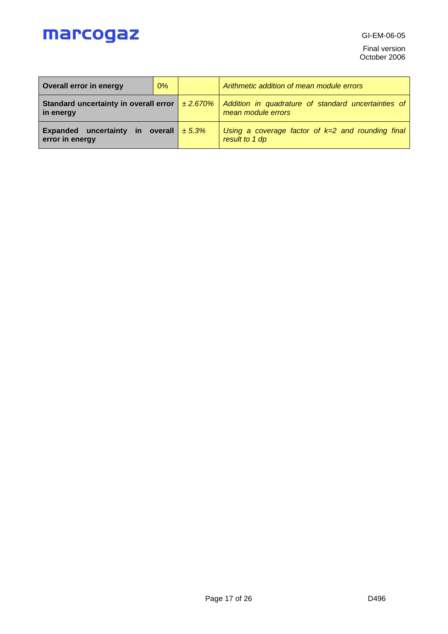GI-EM-06-05

Final version October 2006

| 0%<br>Overall error in energy                                                   |  |        | Arithmetic addition of mean module errors                                 |
|---------------------------------------------------------------------------------|--|--------|---------------------------------------------------------------------------|
| Standard uncertainty in overall error $\vert$ $\pm$ 2.670% $\vert$<br>in energy |  |        | Addition in quadrature of standard uncertainties of<br>mean module errors |
| uncertainty in overall<br><b>Expanded</b><br>error in energy                    |  | ± 5.3% | Using a coverage factor of $k=2$ and rounding final<br>result to 1 dp     |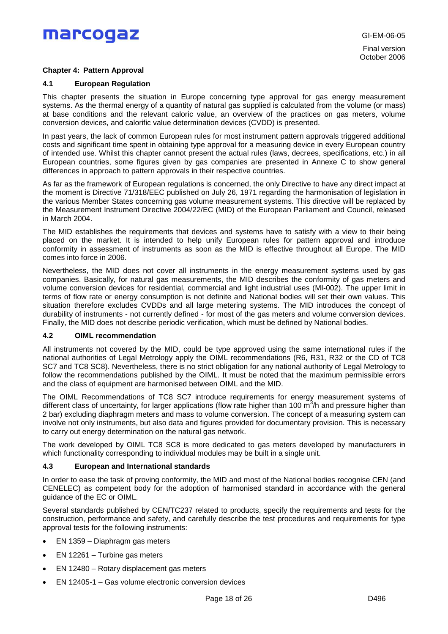### **Chapter 4: Pattern Approval**

### **4.1 European Regulation**

This chapter presents the situation in Europe concerning type approval for gas energy measurement systems. As the thermal energy of a quantity of natural gas supplied is calculated from the volume (or mass) at base conditions and the relevant caloric value, an overview of the practices on gas meters, volume conversion devices, and calorific value determination devices (CVDD) is presented.

In past years, the lack of common European rules for most instrument pattern approvals triggered additional costs and significant time spent in obtaining type approval for a measuring device in every European country of intended use. Whilst this chapter cannot present the actual rules (laws, decrees, specifications, etc.) in all European countries, some figures given by gas companies are presented in Annexe C to show general differences in approach to pattern approvals in their respective countries.

As far as the framework of European regulations is concerned, the only Directive to have any direct impact at the moment is Directive 71/318/EEC published on July 26, 1971 regarding the harmonisation of legislation in the various Member States concerning gas volume measurement systems. This directive will be replaced by the Measurement Instrument Directive 2004/22/EC (MID) of the European Parliament and Council, released in March 2004.

The MID establishes the requirements that devices and systems have to satisfy with a view to their being placed on the market. It is intended to help unify European rules for pattern approval and introduce conformity in assessment of instruments as soon as the MID is effective throughout all Europe. The MID comes into force in 2006.

Nevertheless, the MID does not cover all instruments in the energy measurement systems used by gas companies. Basically, for natural gas measurements, the MID describes the conformity of gas meters and volume conversion devices for residential, commercial and light industrial uses (MI-002). The upper limit in terms of flow rate or energy consumption is not definite and National bodies will set their own values. This situation therefore excludes CVDDs and all large metering systems. The MID introduces the concept of durability of instruments - not currently defined - for most of the gas meters and volume conversion devices. Finally, the MID does not describe periodic verification, which must be defined by National bodies.

### **4.2 OIML recommendation**

All instruments not covered by the MID, could be type approved using the same international rules if the national authorities of Legal Metrology apply the OIML recommendations (R6, R31, R32 or the CD of TC8 SC7 and TC8 SC8). Nevertheless, there is no strict obligation for any national authority of Legal Metrology to follow the recommendations published by the OIML. It must be noted that the maximum permissible errors and the class of equipment are harmonised between OIML and the MID.

The OIML Recommendations of TC8 SC7 introduce requirements for energy measurement systems of different class of uncertainty, for larger applications (flow rate higher than 100 m<sup>3</sup>/h and pressure higher than 2 bar) excluding diaphragm meters and mass to volume conversion. The concept of a measuring system can involve not only instruments, but also data and figures provided for documentary provision. This is necessary to carry out energy determination on the natural gas network.

The work developed by OIML TC8 SC8 is more dedicated to gas meters developed by manufacturers in which functionality corresponding to individual modules may be built in a single unit.

### **4.3 European and International standards**

In order to ease the task of proving conformity, the MID and most of the National bodies recognise CEN (and CENELEC) as competent body for the adoption of harmonised standard in accordance with the general guidance of the EC or OIML.

Several standards published by CEN/TC237 related to products, specify the requirements and tests for the construction, performance and safety, and carefully describe the test procedures and requirements for type approval tests for the following instruments:

- EN 1359 Diaphragm gas meters
- EN 12261 Turbine gas meters
- EN 12480 Rotary displacement gas meters
- EN 12405-1 Gas volume electronic conversion devices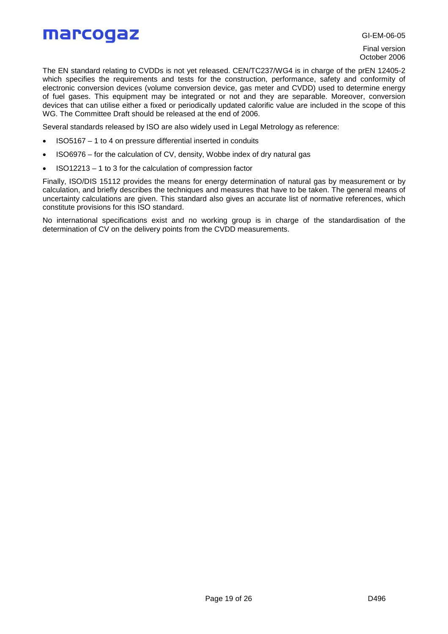GI-EM-06-05

Final version October 2006

The EN standard relating to CVDDs is not yet released. CEN/TC237/WG4 is in charge of the prEN 12405-2 which specifies the requirements and tests for the construction, performance, safety and conformity of electronic conversion devices (volume conversion device, gas meter and CVDD) used to determine energy of fuel gases. This equipment may be integrated or not and they are separable. Moreover, conversion devices that can utilise either a fixed or periodically updated calorific value are included in the scope of this WG. The Committee Draft should be released at the end of 2006.

Several standards released by ISO are also widely used in Legal Metrology as reference:

- ISO5167 1 to 4 on pressure differential inserted in conduits
- ISO6976 for the calculation of CV, density, Wobbe index of dry natural gas
- ISO12213 1 to 3 for the calculation of compression factor

Finally, ISO/DIS 15112 provides the means for energy determination of natural gas by measurement or by calculation, and briefly describes the techniques and measures that have to be taken. The general means of uncertainty calculations are given. This standard also gives an accurate list of normative references, which constitute provisions for this ISO standard.

No international specifications exist and no working group is in charge of the standardisation of the determination of CV on the delivery points from the CVDD measurements.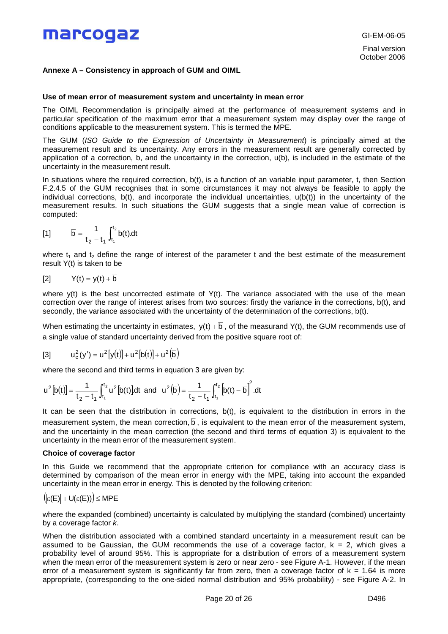### **Annexe A – Consistency in approach of GUM and OIML**

#### **Use of mean error of measurement system and uncertainty in mean error**

The OIML Recommendation is principally aimed at the performance of measurement systems and in particular specification of the maximum error that a measurement system may display over the range of conditions applicable to the measurement system. This is termed the MPE.

The GUM (*ISO Guide to the Expression of Uncertainty in Measurement*) is principally aimed at the measurement result and its uncertainty. Any errors in the measurement result are generally corrected by application of a correction, b, and the uncertainty in the correction, u(b), is included in the estimate of the uncertainty in the measurement result.

In situations where the required correction,  $b(t)$ , is a function of an variable input parameter, t, then Section F.2.4.5 of the GUM recognises that in some circumstances it may not always be feasible to apply the individual corrections,  $b(t)$ , and incorporate the individual uncertainties,  $u(b(t))$  in the uncertainty of the measurement results. In such situations the GUM suggests that a single mean value of correction is computed:

[1] 
$$
\overline{b} = \frac{1}{t_2 - t_1} \int_{t_1}^{t_2} b(t) dt
$$

where  $t_1$  and  $t_2$  define the range of interest of the parameter t and the best estimate of the measurement result Y(t) is taken to be

$$
[2] \qquad Y(t) = y(t) + \overline{b}
$$

where y(t) is the best uncorrected estimate of Y(t). The variance associated with the use of the mean correction over the range of interest arises from two sources: firstly the variance in the corrections, b(t), and secondly, the variance associated with the uncertainty of the determination of the corrections, b(t).

When estimating the uncertainty in estimates,  $y(t) + \overline{b}$ , of the measurand Y(t), the GUM recommends use of a single value of standard uncertainty derived from the positive square root of:

[3] 
$$
u_c^2(y') = \overline{u^2[y(t)]} + \overline{u^2[b(t)]} + u^2(\overline{b})
$$

where the second and third terms in equation 3 are given by:

$$
u^2[b(t)] = \frac{1}{t_2 - t_1} \int_{t_1}^{t_2} u^2[b(t)] dt \text{ and } u^2(\overline{b}) = \frac{1}{t_2 - t_1} \int_{t_1}^{t_2} \left[b(t) - \overline{b}\right]^2 dt
$$

It can be seen that the distribution in corrections, b(t), is equivalent to the distribution in errors in the measurement system, the mean correction,  $\overline{b}$ , is equivalent to the mean error of the measurement system, and the uncertainty in the mean correction (the second and third terms of equation 3) is equivalent to the uncertainty in the mean error of the measurement system.

### **Choice of coverage factor**

In this Guide we recommend that the appropriate criterion for compliance with an accuracy class is determined by comparison of the mean error in energy with the MPE, taking into account the expanded uncertainty in the mean error in energy. This is denoted by the following criterion:

$$
(|\varepsilon(E)| + U(\varepsilon(E))) \leq MPE
$$

where the expanded (combined) uncertainty is calculated by multiplying the standard (combined) uncertainty by a coverage factor *k*.

When the distribution associated with a combined standard uncertainty in a measurement result can be assumed to be Gaussian, the GUM recommends the use of a coverage factor,  $k = 2$ , which gives a probability level of around 95%. This is appropriate for a distribution of errors of a measurement system when the mean error of the measurement system is zero or near zero - see Figure A-1. However, if the mean error of a measurement system is significantly far from zero, then a coverage factor of  $k = 1.64$  is more appropriate, (corresponding to the one-sided normal distribution and 95% probability) - see Figure A-2. In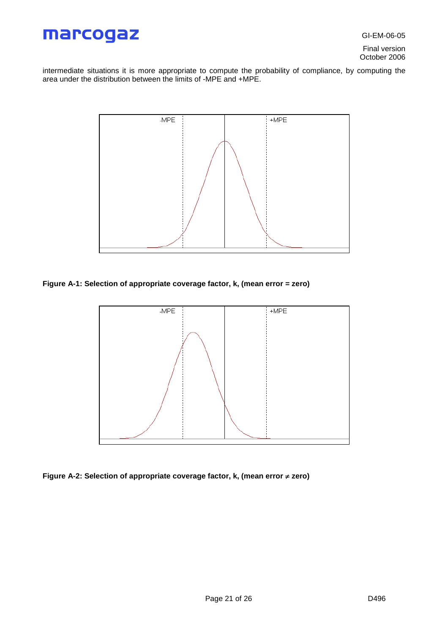GI-EM-06-05

Final version October 2006

intermediate situations it is more appropriate to compute the probability of compliance, by computing the area under the distribution between the limits of -MPE and +MPE.



**Figure A-1: Selection of appropriate coverage factor, k, (mean error = zero)**



**Figure A-2: Selection of appropriate coverage factor, k, (mean error zero)**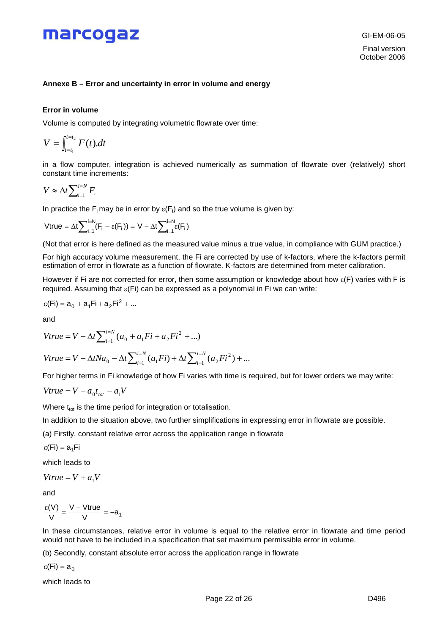### **Annexe B – Error and uncertainty in error in volume and energy**

### **Error in volume**

Volume is computed by integrating volumetric flowrate over time:

$$
V=\int_{t=t_1}^{t=t_2} F(t).dt
$$

in a flow computer, integration is achieved numerically as summation of flowrate over (relatively) short constant time increments:

$$
V \approx \Delta t \sum\nolimits_{i=1}^{i=N} F_i
$$

In practice the F<sub>i</sub> may be in error by  $\varepsilon(F_i)$  and so the true volume is given by:

$$
\text{Vtrue} = \Delta t \sum\nolimits_{i=1}^{i=N} (F_i - \epsilon(F_i)) = V - \Delta t \sum\nolimits_{i=1}^{i=N} \epsilon(F_i)
$$

(Not that error is here defined as the measured value minus a true value, in compliance with GUM practice.)

For high accuracy volume measurement, the Fi are corrected by use of k-factors, where the k-factors permit estimation of error in flowrate as a function of flowrate. K-factors are determined from meter calibration.

However if Fi are not corrected for error, then some assumption or knowledge about how  $\varepsilon$ (F) varies with F is required. Assuming that  $\varepsilon$ (Fi) can be expressed as a polynomial in Fi we can write:

$$
\epsilon(\text{Fi}) = a_0 + a_1 \text{Fi} + a_2 \text{Fi}^2 + \dots
$$

and

$$
Vtrue = V - \Delta t \sum_{i=1}^{i=N} (a_0 + a_1 Fi + a_2 Fi^2 + ...)
$$

$$
Vtrue = V - \Delta t Na_0 - \Delta t \sum_{i=1}^{i=N} (a_1 Fi) + \Delta t \sum_{i=1}^{i=N} (a_2 Fi^2) + \dots
$$

For higher terms in Fi knowledge of how Fi varies with time is required, but for lower orders we may write:

$$
Vtrue = V - a_0 t_{\text{tot}} - a_1 V
$$

Where  $t_{tot}$  is the time period for integration or totalisation.

In addition to the situation above, two further simplifications in expressing error in flowrate are possible.

(a) Firstly, constant relative error across the application range in flowrate

ε(Fi) =  $a_1$ Fi

which leads to

 $V$ *true* =  $V + a_1V$ 

and

$$
\frac{\epsilon(V)}{V} = \frac{V - Vtrue}{V} = -a_1
$$

In these circumstances, relative error in volume is equal to the relative error in flowrate and time period would not have to be included in a specification that set maximum permissible error in volume.

(b) Secondly, constant absolute error across the application range in flowrate

ε(Fi) =  $a_0$ 

which leads to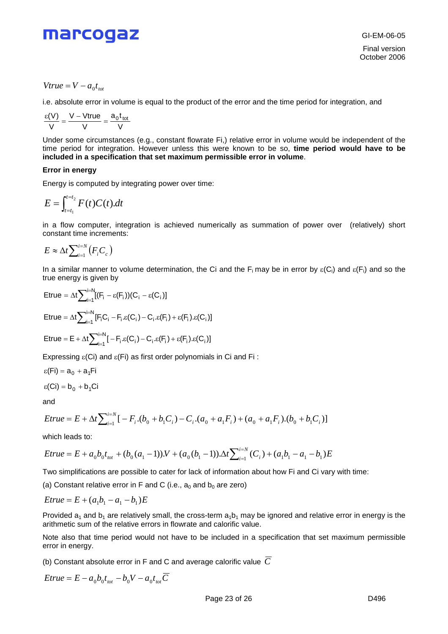

GI-EM-06-05 Final version October 2006

*Vtrue* =  $V - a_0t_{tot}$ 

i.e. absolute error in volume is equal to the product of the error and the time period for integration, and

$$
\frac{\epsilon(V)}{V} = \frac{V - Vtrue}{V} = \frac{a_0t_{tot}}{V}
$$

Under some circumstances (e.g., constant flowrate Fi,) relative error in volume would be independent of the time period for integration. However unless this were known to be so, **time period would have to be included in a specification that set maximum permissible error in volume**.

### **Error in energy**

Energy is computed by integrating power over time:

$$
E=\int_{t=t_1}^{t=t_2} F(t)C(t).dt
$$

in a flow computer, integration is achieved numerically as summation of power over (relatively) short constant time increments:

$$
E \approx \Delta t \sum_{i=1}^{i=N} (F_i C_c)
$$

In a similar manner to volume determination, the Ci and the F<sub>i</sub> may be in error by  $\varepsilon$ (C<sub>i</sub>) and  $\varepsilon$ (F<sub>i</sub>) and so the true energy is given by

ETue = 
$$
\Delta t \sum_{i=1}^{i=N} [F_i - \varepsilon(F_i))(C_i - \varepsilon(C_i)]
$$

\nETue = 
$$
\Delta t \sum_{i=1}^{i=N} [F_i C_i - F_i \varepsilon(C_i) - C_i \varepsilon(F_i) + \varepsilon(F_i) \varepsilon(C_i)]
$$

\nETue = 
$$
E + \Delta t \sum_{i=1}^{i=N} [-F_i \varepsilon(C_i) - C_i \varepsilon(F_i) + \varepsilon(F_i) \varepsilon(C_i)]
$$

Expressing  $\varepsilon$ (Ci) and  $\varepsilon$ (Fi) as first order polynomials in Ci and Fi:

$$
\epsilon(Fi)=a_0+a_1Fi
$$

$$
\epsilon(Ci) = b_0 + b_1 Ci
$$

and

*Erue* = 
$$
E + \Delta t \sum_{i=1}^{i=N} [-F_i.(b_0 + b_1C_i) - C_i.(a_0 + a_1F_i) + (a_0 + a_1F_i).(b_0 + b_1C_i)]
$$

which leads to:

*Erue* = 
$$
E + a_0 b_0 t_{tot} + (b_0 (a_1 - 1)) \cdot V + (a_0 (b_1 - 1)) \cdot \Delta t \sum_{i=1}^{i=N} (C_i) + (a_1 b_1 - a_1 - b_1) E
$$

Two simplifications are possible to cater for lack of information about how Fi and Ci vary with time:

(a) Constant relative error in F and C (i.e.,  $a_0$  and  $b_0$  are zero)

*Erue* = 
$$
E + (a_1b_1 - a_1 - b_1)E
$$

Provided  $a_1$  and  $b_1$  are relatively small, the cross-term  $a_1b_1$  may be ignored and relative error in energy is the arithmetic sum of the relative errors in flowrate and calorific value.

Note also that time period would not have to be included in a specification that set maximum permissible error in energy.

(b) Constant absolute error in F and C and average calorific value  $\overline{C}$ 

$$
Etrue = E - a_0 b_0 t_{\text{tot}} - b_0 V - a_0 t_{\text{tot}} \overline{C}
$$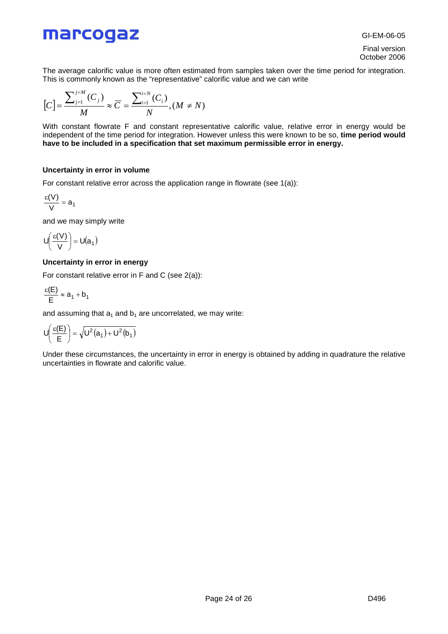GI-EM-06-05

Final version October 2006

The average calorific value is more often estimated from samples taken over the time period for integration. This is commonly known as the "representative" calorific value and we can write

$$
\left[C\right]=\frac{\sum_{j=1}^{j=M}\left(C_{j}\right)}{M}\approx\overline{C}=\frac{\sum_{i=1}^{i=N}\left(C_{i}\right)}{N},\left(M\neq N\right)
$$

With constant flowrate F and constant representative calorific value, relative error in energy would be independent of the time period for integration. However unless this were known to be so, **time period would have to be included in a specification that set maximum permissible error in energy.**

### **Uncertainty in error in volume**

For constant relative error across the application range in flowrate (see 1(a)):

$$
\frac{\epsilon(V)}{V} = a_1
$$

and we may simply write

$$
U\left(\frac{\epsilon(V)}{V}\right) = U(a_1)
$$

### **Uncertainty in error in energy**

For constant relative error in F and C (see 2(a)):

$$
\frac{\epsilon(E)}{E} \approx a_1 + b_1
$$

and assuming that  $a_1$  and  $b_1$  are uncorrelated, we may write:

$$
U\!\!\left(\frac{\epsilon(E)}{E}\right)\!=\!\sqrt{U^2\!\left(a_1\right)\!+U^2\!\left(b_1\right)}
$$

Under these circumstances, the uncertainty in error in energy is obtained by adding in quadrature the relative uncertainties in flowrate and calorific value.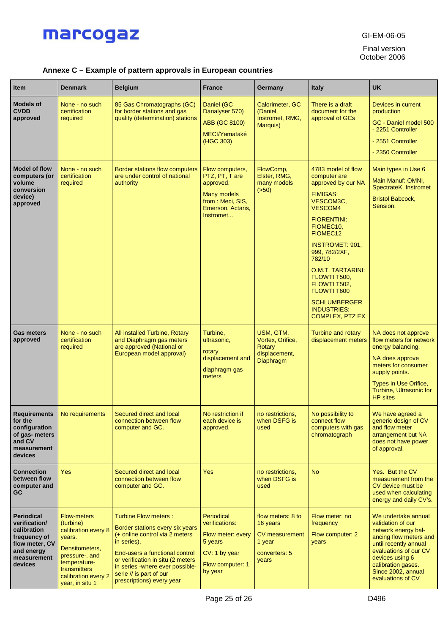

GI-EM-06-05

Final version October 2006

### **Annexe C – Example of pattern approvals in European countries**

| <b>Item</b>                                                                                                                 | <b>Denmark</b>                                                                                                                                                                 | <b>Belgium</b>                                                                                                                                                                                                                                                                 | <b>France</b>                                                                                                              | Germany                                                                                    | Italy                                                                                                                                                                                                                                                                                                                                                                                   | <b>UK</b>                                                                                                                                                                                                                       |
|-----------------------------------------------------------------------------------------------------------------------------|--------------------------------------------------------------------------------------------------------------------------------------------------------------------------------|--------------------------------------------------------------------------------------------------------------------------------------------------------------------------------------------------------------------------------------------------------------------------------|----------------------------------------------------------------------------------------------------------------------------|--------------------------------------------------------------------------------------------|-----------------------------------------------------------------------------------------------------------------------------------------------------------------------------------------------------------------------------------------------------------------------------------------------------------------------------------------------------------------------------------------|---------------------------------------------------------------------------------------------------------------------------------------------------------------------------------------------------------------------------------|
| <b>Models of</b><br><b>CVDD</b><br>approved                                                                                 | None - no such<br>certification<br>required                                                                                                                                    | 85 Gas Chromatographs (GC)<br>for border stations and gas<br>quality (determination) stations                                                                                                                                                                                  | Daniel (GC<br>Danalyser 570)<br>ABB (GC 8100)<br>MECI/Yamataké<br>(HGC 303)                                                | Calorimeter, GC<br>(Daniel,<br>Instromet, RMG,<br>Marquis)                                 | There is a draft<br>document for the<br>approval of GCs                                                                                                                                                                                                                                                                                                                                 | Devices in current<br>production<br>GC - Daniel model 500<br>- 2251 Controller<br>- 2551 Controller<br>- 2350 Controller                                                                                                        |
| <b>Model of flow</b><br>computers (or<br>volume<br>conversion<br>device)<br>approved                                        | None - no such<br>certification<br>required                                                                                                                                    | Border stations flow computers<br>are under control of national<br>authority                                                                                                                                                                                                   | Flow computers,<br>PTZ, PT, T are<br>approved.<br><b>Many models</b><br>from: Meci, SIS,<br>Emerson, Actaris,<br>Instromet | FlowComp,<br>Elster, RMG,<br>many models<br>(550)                                          | 4783 model of flow<br>computer are<br>approved by our NA<br><b>FIMIGAS:</b><br>VESCOM3C,<br><b>VESCOM4</b><br><b>FIORENTINI:</b><br>FIOMEC <sub>10</sub><br>FIOMEC <sub>12</sub><br><b>INSTROMET: 901,</b><br>999, 782/2XF,<br>782/10<br><b>O.M.T. TARTARINI:</b><br>FLOWTI T500,<br>FLOWTI T502.<br><b>FLOWTI T600</b><br><b>SCHLUMBERGER</b><br><b>INDUSTRIES:</b><br>COMPLEX, PTZ EX | Main types in Use 6<br>Main Manuf: OMNI,<br>SpectrateK, Instromet<br><b>Bristol Babcock,</b><br>Sension,                                                                                                                        |
| <b>Gas meters</b><br>approved                                                                                               | None - no such<br>certification<br>required                                                                                                                                    | All installed Turbine, Rotary<br>and Diaphragm gas meters<br>are approved (National or<br>European model approval)                                                                                                                                                             | Turbine,<br>ultrasonic,<br>rotary<br>displacement and<br>diaphragm gas<br>meters                                           | USM, GTM,<br>Vortex, Orifice,<br>Rotary<br>displacement,<br>Diaphragm                      | <b>Turbine and rotary</b><br>displacement meters                                                                                                                                                                                                                                                                                                                                        | NA does not approve<br>flow meters for network<br>energy balancing.<br>NA does approve<br>meters for consumer<br>supply points.<br>Types in Use Orifice,<br>Turbine, Ultrasonic for<br><b>HP</b> sites                          |
| <b>Requirements</b><br>for the<br>configuration<br>of gas- meters<br>and CV<br>measurement<br>devices                       | No requirements                                                                                                                                                                | Secured direct and local<br>connection between flow<br>computer and GC.                                                                                                                                                                                                        | No restriction if<br>each device is<br>approved.                                                                           | no restrictions,<br>when DSFG is<br>used                                                   | No possibility to<br>connect flow<br>computers with gas<br>chromatograph                                                                                                                                                                                                                                                                                                                | We have agreed a<br>generic design of CV<br>and flow meter<br>arrangement but NA<br>does not have power<br>of approval.                                                                                                         |
| <b>Connection</b><br>between flow<br>computer and<br>GC                                                                     | <b>Yes</b>                                                                                                                                                                     | Secured direct and local<br>connection between flow<br>computer and GC.                                                                                                                                                                                                        | <b>Yes</b>                                                                                                                 | no restrictions,<br>when DSFG is<br>used                                                   | <b>No</b>                                                                                                                                                                                                                                                                                                                                                                               | Yes. But the CV<br>measurement from the<br>CV device must be<br>used when calculating<br>energy and daily CV's.                                                                                                                 |
| <b>Periodical</b><br>verification/<br>calibration<br>frequency of<br>flow meter, CV<br>and energy<br>measurement<br>devices | <b>Flow-meters</b><br>(turbine)<br>calibration every 8<br>years.<br>Densitometers,<br>pressure-, and<br>temperature-<br>transmitters<br>calibration every 2<br>year, in situ 1 | Turbine Flow meters :<br>Border stations every six years<br>$(+)$ online control via 2 meters<br>in series),<br>End-users a functional control<br>or verification in situ (2 meters<br>in series -where ever possible-<br>serie // is part of our<br>prescriptions) every year | Periodical<br>verifications:<br>Flow meter: every<br>5 years<br>CV: 1 by year<br>Flow computer: 1<br>by year               | flow meters: 8 to<br>16 years<br><b>CV</b> measurement<br>1 year<br>converters: 5<br>years | Flow meter: no<br>frequency<br>Flow computer: 2<br>years                                                                                                                                                                                                                                                                                                                                | We undertake annual<br>validation of our<br>network energy bal-<br>ancing flow meters and<br>until recently annual<br>evaluations of our CV<br>devices using 6<br>calibration gases.<br>Since 2002, annual<br>evaluations of CV |